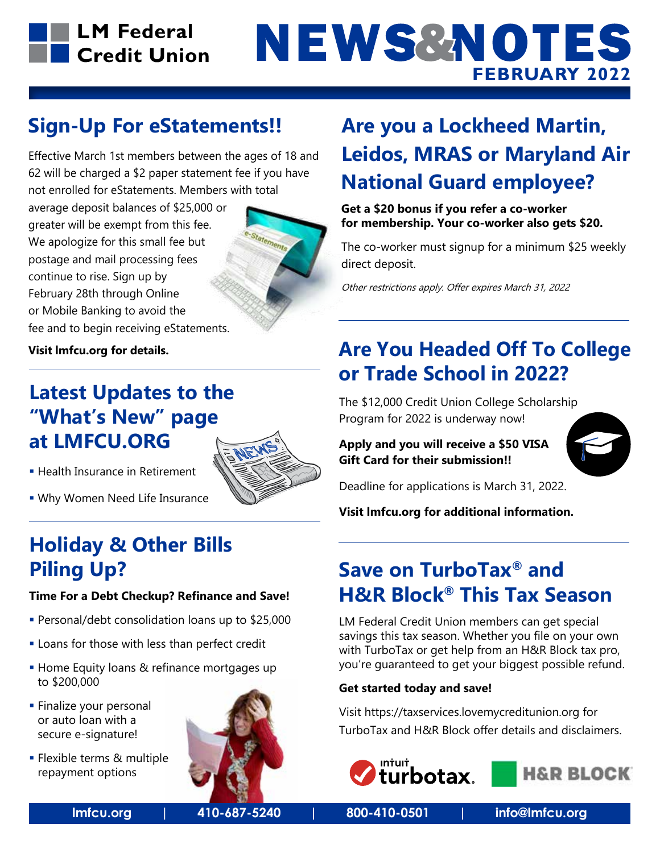

# **NEWS&NOTES FEBRUARY 2022**

### **Sign-Up For eStatements!!**

Effective March 1st members between the ages of 18 and 62 will be charged a \$2 paper statement fee if you have not enrolled for eStatements. Members with total

average deposit balances of \$25,000 or greater will be exempt from this fee. We apologize for this small fee but postage and mail processing fees continue to rise. Sign up by February 28th through Online or Mobile Banking to avoid the fee and to begin receiving eStatements.



**Visit lmfcu.org for details.**

### **Latest Updates to the "What's New" page at LMFCU.ORG**



- **Health Insurance in Retirement**
- Why Women Need Life Insurance

# **Holiday & Other Bills Piling Up?**

#### **Time For a Debt Checkup? Refinance and Save!**

- Personal/debt consolidation loans up to \$25,000
- **Loans for those with less than perfect credit**
- **Home Equity loans & refinance mortgages up** to \$200,000
- **Finalize your personal** or auto loan with a secure e-signature!
- **Flexible terms & multiple** repayment options



# **Are you a Lockheed Martin, Leidos, MRAS or Maryland Air National Guard employee?**

**Get a \$20 bonus if you refer a co-worker for membership. Your co-worker also gets \$20.**

The co-worker must signup for a minimum \$25 weekly direct deposit.

Other restrictions apply. Offer expires March 31, 2022

## **Are You Headed Off To College or Trade School in 2022?**

The \$12,000 Credit Union College Scholarship Program for 2022 is underway now!

**Apply and you will receive a \$50 VISA Gift Card for their submission!!**



Deadline for applications is March 31, 2022.

**Visit lmfcu.org for additional information.**

## **Save on TurboTax® and H&R Block® This Tax Season**

LM Federal Credit Union members can get special savings this tax season. Whether you file on your own with TurboTax or get help from an H&R Block tax pro, you're guaranteed to get your biggest possible refund.

#### **Get started today and save!**

Visit https://taxservices.lovemycreditunion.org for TurboTax and H&R Block offer details and disclaimers.





**lmfcu.org | 410-687-5240 | 800-410-0501 | info@lmfcu.org**